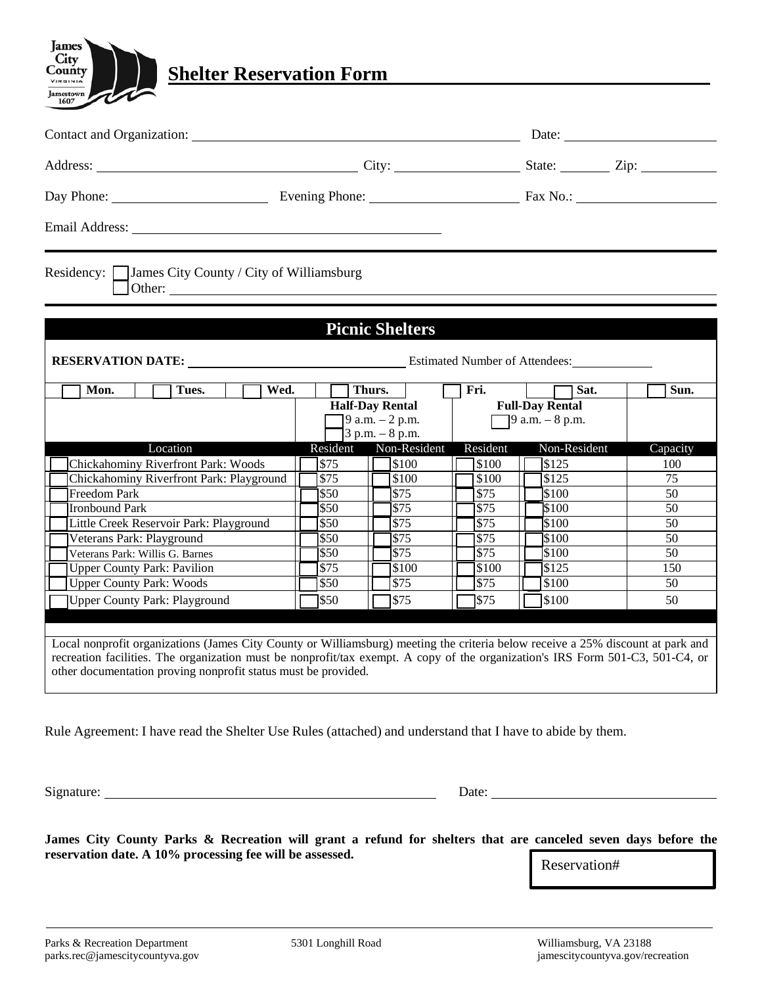

| Contact and Organization: Date: Date:                                                                                                                                                            |                        |                                                 |                     |                           |                 |  |
|--------------------------------------------------------------------------------------------------------------------------------------------------------------------------------------------------|------------------------|-------------------------------------------------|---------------------|---------------------------|-----------------|--|
| Address: City: City: State: Zip: Zip:                                                                                                                                                            |                        |                                                 |                     |                           |                 |  |
|                                                                                                                                                                                                  |                        |                                                 |                     |                           |                 |  |
|                                                                                                                                                                                                  |                        |                                                 |                     |                           |                 |  |
| Residency: James City County / City of Williamsburg                                                                                                                                              |                        |                                                 |                     |                           |                 |  |
|                                                                                                                                                                                                  |                        |                                                 |                     |                           |                 |  |
|                                                                                                                                                                                                  |                        | <b>Picnic Shelters</b>                          |                     |                           |                 |  |
|                                                                                                                                                                                                  |                        |                                                 |                     |                           |                 |  |
| <b>RESERVATION DATE:</b> Estimated Number of Attendees:                                                                                                                                          |                        |                                                 |                     |                           |                 |  |
| Tues.<br>Mon.<br>Wed.                                                                                                                                                                            |                        | Thurs.                                          | Fri.                | Sat.                      | Sun.            |  |
|                                                                                                                                                                                                  | <b>Half-Day Rental</b> |                                                 |                     | <b>Full-Day Rental</b>    |                 |  |
|                                                                                                                                                                                                  |                        | $[9 a.m. - 2 p.m.$<br>$\sqrt{3}$ p.m. $-8$ p.m. |                     | $\sqrt{9}$ a.m. $-8$ p.m. |                 |  |
| Location                                                                                                                                                                                         | Resident               | Non-Resident                                    | Resident            | Non-Resident              | Capacity        |  |
| Chickahominy Riverfront Park: Woods                                                                                                                                                              | \$75                   | 7s100                                           | \$100               | \$125                     | 100             |  |
| Chickahominy Riverfront Park: Playground                                                                                                                                                         | $\overline{$}75$       | \$100                                           | \$100               | $\overline{$125}$         | 75              |  |
| <b>Freedom Park</b>                                                                                                                                                                              | \$50                   | <b>S75</b>                                      | $\overline{$}75$    | \$100                     | 50              |  |
| <b>Ironbound Park</b>                                                                                                                                                                            | $\overline{\$50}$      | \$75                                            | $\overline{$}$ \$75 | \$100                     | $\overline{50}$ |  |
| Little Creek Reservoir Park: Playground                                                                                                                                                          | \$50                   | $\sqrt{$75}$                                    | $\overline{$75}$    | \$100                     | 50              |  |
| Veterans Park: Playground                                                                                                                                                                        | \$50                   | $\sqrt{575}$                                    | $\overline{\$75}$   | $\sqrt{$100}$             | 50              |  |
| Veterans Park: Willis G. Barnes                                                                                                                                                                  | \$50                   | <b>S75</b>                                      | \$75                | \$100                     | 50              |  |
| <b>Upper County Park: Pavilion</b>                                                                                                                                                               | $\overline{$}75$       | \$100                                           | 1\$100              | \$125                     | 150             |  |
| <b>Upper County Park: Woods</b>                                                                                                                                                                  | $\overline{$}50$       | $\overline{$75}$                                | $\overline{$}75$    | $\sqrt{$100}$             | 50              |  |
| <b>Upper County Park: Playground</b>                                                                                                                                                             | \$50                   | \$75                                            | \$75                | \$100                     | 50              |  |
|                                                                                                                                                                                                  |                        |                                                 |                     |                           |                 |  |
|                                                                                                                                                                                                  |                        |                                                 |                     |                           |                 |  |
| Local nonprofit organizations (James City County or Williamsburg) meeting the criteria below receive a 25% discount at park and                                                                  |                        |                                                 |                     |                           |                 |  |
| recreation facilities. The organization must be nonprofit/tax exempt. A copy of the organization's IRS Form 501-C3, 501-C4, or<br>other documentation proving nonprofit status must be provided. |                        |                                                 |                     |                           |                 |  |
|                                                                                                                                                                                                  |                        |                                                 |                     |                           |                 |  |
|                                                                                                                                                                                                  |                        |                                                 |                     |                           |                 |  |
|                                                                                                                                                                                                  |                        |                                                 |                     |                           |                 |  |

Rule Agreement: I have read the Shelter Use Rules (attached) and understand that I have to abide by them.

Signature: Date:

**James** City County VIRGINIA  $\frac{\frac{1}{\text{Jamestown}}}{1607}$ 

James City County Parks & Recreation will grant a refund for shelters that are canceled seven days before the **reservation date. A 10% processing fee will be assessed.**

Reservation#